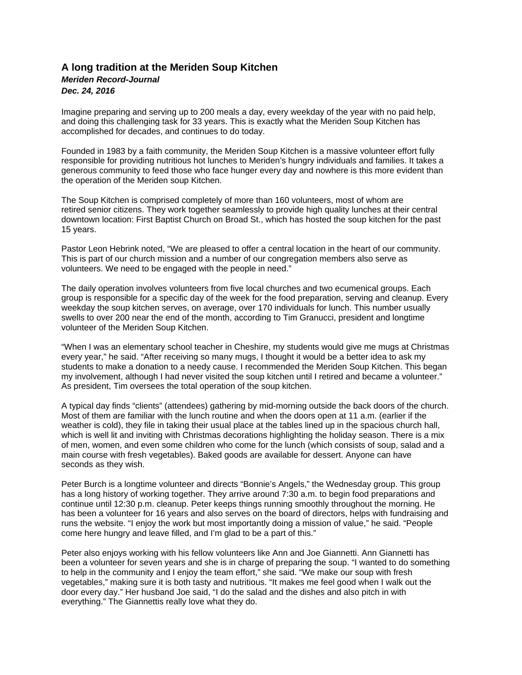## **A long tradition at the Meriden Soup Kitchen**  *Meriden Record-Journal Dec. 24, 2016*

Imagine preparing and serving up to 200 meals a day, every weekday of the year with no paid help, and doing this challenging task for 33 years. This is exactly what the Meriden Soup Kitchen has accomplished for decades, and continues to do today.

Founded in 1983 by a faith community, the Meriden Soup Kitchen is a massive volunteer effort fully responsible for providing nutritious hot lunches to Meriden's hungry individuals and families. It takes a generous community to feed those who face hunger every day and nowhere is this more evident than the operation of the Meriden soup Kitchen.

The Soup Kitchen is comprised completely of more than 160 volunteers, most of whom are retired senior citizens. They work together seamlessly to provide high quality lunches at their central downtown location: First Baptist Church on Broad St., which has hosted the soup kitchen for the past 15 years.

Pastor Leon Hebrink noted, "We are pleased to offer a central location in the heart of our community. This is part of our church mission and a number of our congregation members also serve as volunteers. We need to be engaged with the people in need."

The daily operation involves volunteers from five local churches and two ecumenical groups. Each group is responsible for a specific day of the week for the food preparation, serving and cleanup. Every weekday the soup kitchen serves, on average, over 170 individuals for lunch. This number usually swells to over 200 near the end of the month, according to Tim Granucci, president and longtime volunteer of the Meriden Soup Kitchen.

"When I was an elementary school teacher in Cheshire, my students would give me mugs at Christmas every year," he said. "After receiving so many mugs, I thought it would be a better idea to ask my students to make a donation to a needy cause. I recommended the Meriden Soup Kitchen. This began my involvement, although I had never visited the soup kitchen until I retired and became a volunteer." As president, Tim oversees the total operation of the soup kitchen.

A typical day finds "clients" (attendees) gathering by mid-morning outside the back doors of the church. Most of them are familiar with the lunch routine and when the doors open at 11 a.m. (earlier if the weather is cold), they file in taking their usual place at the tables lined up in the spacious church hall, which is well lit and inviting with Christmas decorations highlighting the holiday season. There is a mix of men, women, and even some children who come for the lunch (which consists of soup, salad and a main course with fresh vegetables). Baked goods are available for dessert. Anyone can have seconds as they wish.

Peter Burch is a longtime volunteer and directs "Bonnie's Angels," the Wednesday group. This group has a long history of working together. They arrive around 7:30 a.m. to begin food preparations and continue until 12:30 p.m. cleanup. Peter keeps things running smoothly throughout the morning. He has been a volunteer for 16 years and also serves on the board of directors, helps with fundraising and runs the website. "I enjoy the work but most importantly doing a mission of value," he said. "People come here hungry and leave filled, and I'm glad to be a part of this."

Peter also enjoys working with his fellow volunteers like Ann and Joe Giannetti. Ann Giannetti has been a volunteer for seven years and she is in charge of preparing the soup. "I wanted to do something to help in the community and I enjoy the team effort," she said. "We make our soup with fresh vegetables," making sure it is both tasty and nutritious. "It makes me feel good when I walk out the door every day." Her husband Joe said, "I do the salad and the dishes and also pitch in with everything." The Giannettis really love what they do.